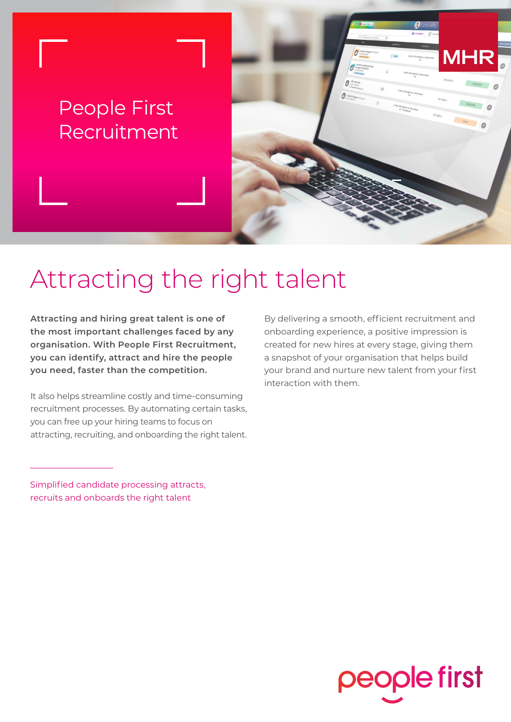### People First Recruitment

# Attracting the right talent

**Attracting and hiring great talent is one of the most important challenges faced by any organisation. With People First Recruitment, you can identify, attract and hire the people you need, faster than the competition.**

It also helps streamline costly and time-consuming recruitment processes. By automating certain tasks, you can free up your hiring teams to focus on attracting, recruiting, and onboarding the right talent.

By delivering a smooth, efficient recruitment and onboarding experience, a positive impression is created for new hires at every stage, giving them a snapshot of your organisation that helps build your brand and nurture new talent from your first interaction with them.

Simplified candidate processing attracts, recruits and onboards the right talent

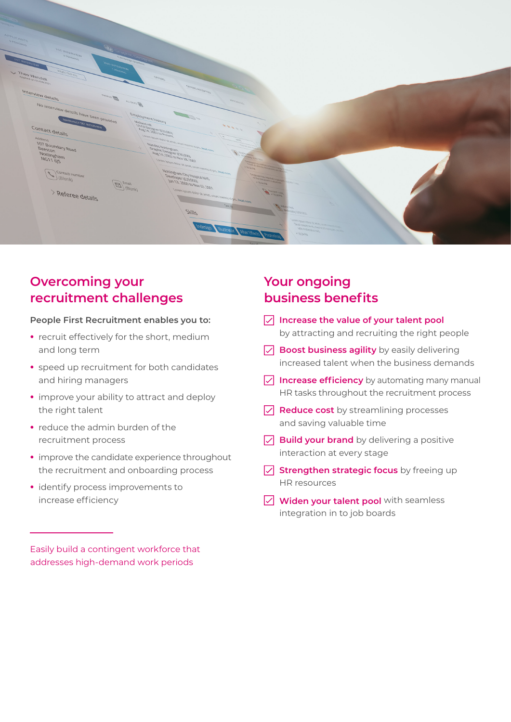

#### **Overcoming your recruitment challenges**

#### **People First Recruitment enables you to:**

- **•** recruit effectively for the short, medium and long term
- speed up recruitment for both candidates and hiring managers
- improve your ability to attract and deploy the right talent
- reduce the admin burden of the recruitment process
- improve the candidate experience throughout the recruitment and onboarding process
- identify process improvements to increase efficiency

#### **Your ongoing business benefits**

- **Increase the value of your talent pool** by attracting and recruiting the right people
- **Boost business agility** by easily delivering increased talent when the business demands
- **Increase efficiency** by automating many manual HR tasks throughout the recruitment process
- **Reduce cost** by streamlining processes and saving valuable time
- **Build your brand** by delivering a positive interaction at every stage
- **Strengthen strategic focus** by freeing up HR resources
- **Widen your talent pool** with seamless integration in to job boards

Easily build a contingent workforce that addresses high-demand work periods